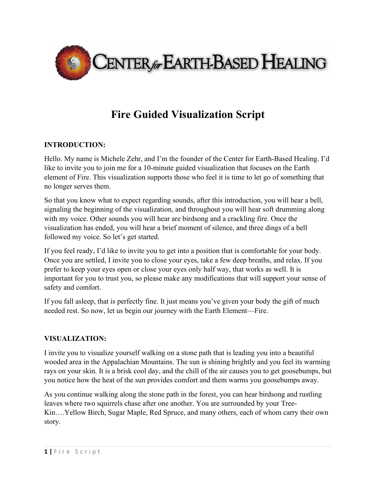

## **Fire Guided Visualization Script**

## **INTRODUCTION:**

Hello. My name is Michele Zehr, and I'm the founder of the Center for Earth-Based Healing. I'd like to invite you to join me for a 10-minute guided visualization that focuses on the Earth element of Fire. This visualization supports those who feel it is time to let go of something that no longer serves them.

So that you know what to expect regarding sounds, after this introduction, you will hear a bell, signaling the beginning of the visualization, and throughout you will hear soft drumming along with my voice. Other sounds you will hear are birdsong and a crackling fire. Once the visualization has ended, you will hear a brief moment of silence, and three dings of a bell followed my voice. So let's get started.

If you feel ready, I'd like to invite you to get into a position that is comfortable for your body. Once you are settled, I invite you to close your eyes, take a few deep breaths, and relax. If you prefer to keep your eyes open or close your eyes only half way, that works as well. It is important for you to trust you, so please make any modifications that will support your sense of safety and comfort.

If you fall asleep, that is perfectly fine. It just means you've given your body the gift of much needed rest. So now, let us begin our journey with the Earth Element—Fire.

## **VISUALIZATION:**

I invite you to visualize yourself walking on a stone path that is leading you into a beautiful wooded area in the Appalachian Mountains. The sun is shining brightly and you feel its warming rays on your skin. It is a brisk cool day, and the chill of the air causes you to get goosebumps, but you notice how the heat of the sun provides comfort and them warms you goosebumps away.

As you continue walking along the stone path in the forest, you can hear birdsong and rustling leaves where two squirrels chase after one another. You are surrounded by your Tree-Kin….Yellow Birch, Sugar Maple, Red Spruce, and many others, each of whom carry their own story.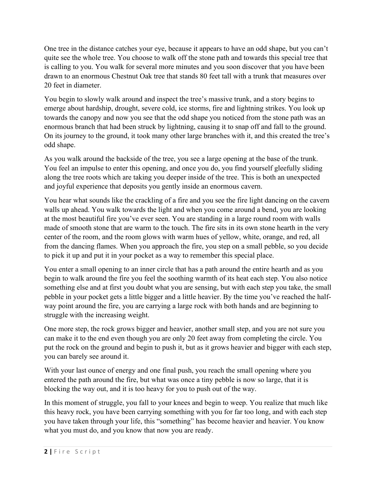One tree in the distance catches your eye, because it appears to have an odd shape, but you can't quite see the whole tree. You choose to walk off the stone path and towards this special tree that is calling to you. You walk for several more minutes and you soon discover that you have been drawn to an enormous Chestnut Oak tree that stands 80 feet tall with a trunk that measures over 20 feet in diameter.

You begin to slowly walk around and inspect the tree's massive trunk, and a story begins to emerge about hardship, drought, severe cold, ice storms, fire and lightning strikes. You look up towards the canopy and now you see that the odd shape you noticed from the stone path was an enormous branch that had been struck by lightning, causing it to snap off and fall to the ground. On its journey to the ground, it took many other large branches with it, and this created the tree's odd shape.

As you walk around the backside of the tree, you see a large opening at the base of the trunk. You feel an impulse to enter this opening, and once you do, you find yourself gleefully sliding along the tree roots which are taking you deeper inside of the tree. This is both an unexpected and joyful experience that deposits you gently inside an enormous cavern.

You hear what sounds like the crackling of a fire and you see the fire light dancing on the cavern walls up ahead. You walk towards the light and when you come around a bend, you are looking at the most beautiful fire you've ever seen. You are standing in a large round room with walls made of smooth stone that are warm to the touch. The fire sits in its own stone hearth in the very center of the room, and the room glows with warm hues of yellow, white, orange, and red, all from the dancing flames. When you approach the fire, you step on a small pebble, so you decide to pick it up and put it in your pocket as a way to remember this special place.

You enter a small opening to an inner circle that has a path around the entire hearth and as you begin to walk around the fire you feel the soothing warmth of its heat each step. You also notice something else and at first you doubt what you are sensing, but with each step you take, the small pebble in your pocket gets a little bigger and a little heavier. By the time you've reached the halfway point around the fire, you are carrying a large rock with both hands and are beginning to struggle with the increasing weight.

One more step, the rock grows bigger and heavier, another small step, and you are not sure you can make it to the end even though you are only 20 feet away from completing the circle. You put the rock on the ground and begin to push it, but as it grows heavier and bigger with each step, you can barely see around it.

With your last ounce of energy and one final push, you reach the small opening where you entered the path around the fire, but what was once a tiny pebble is now so large, that it is blocking the way out, and it is too heavy for you to push out of the way.

In this moment of struggle, you fall to your knees and begin to weep. You realize that much like this heavy rock, you have been carrying something with you for far too long, and with each step you have taken through your life, this "something" has become heavier and heavier. You know what you must do, and you know that now you are ready.